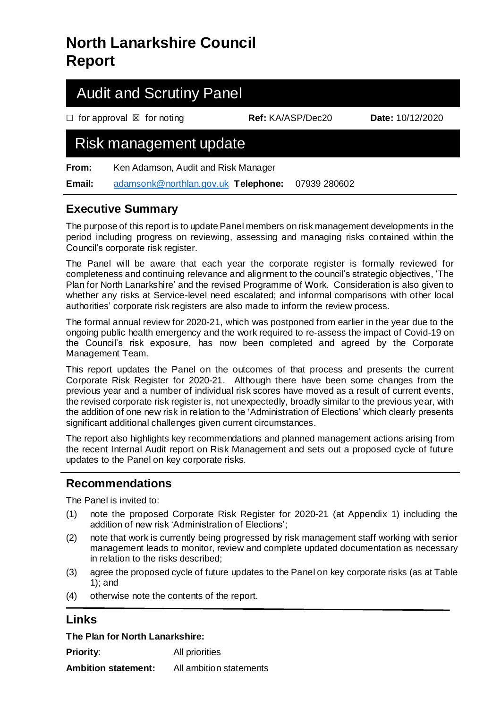# **North Lanarkshire Council Report**

# Audit and Scrutiny Panel

☐ for approval ☒ for noting **Ref:** KA/ASP/Dec20 **Date:** 10/12/2020

# Risk management update

**From:** Ken Adamson, Audit and Risk Manager

**Email:** [adamsonk@northlan.gov.uk](mailto:adamsonk@northlan.gov.uk) **Telephone:** 07939 280602

## **Executive Summary**

The purpose of this report is to update Panel members on risk management developments in the period including progress on reviewing, assessing and managing risks contained within the Council's corporate risk register.

The Panel will be aware that each year the corporate register is formally reviewed for completeness and continuing relevance and alignment to the council's strategic objectives, 'The Plan for North Lanarkshire' and the revised Programme of Work. Consideration is also given to whether any risks at Service-level need escalated; and informal comparisons with other local authorities' corporate risk registers are also made to inform the review process.

The formal annual review for 2020-21, which was postponed from earlier in the year due to the ongoing public health emergency and the work required to re-assess the impact of Covid-19 on the Council's risk exposure, has now been completed and agreed by the Corporate Management Team.

This report updates the Panel on the outcomes of that process and presents the current Corporate Risk Register for 2020-21. Although there have been some changes from the previous year and a number of individual risk scores have moved as a result of current events, the revised corporate risk register is, not unexpectedly, broadly similar to the previous year, with the addition of one new risk in relation to the 'Administration of Elections' which clearly presents significant additional challenges given current circumstances.

The report also highlights key recommendations and planned management actions arising from the recent Internal Audit report on Risk Management and sets out a proposed cycle of future updates to the Panel on key corporate risks.

## **Recommendations**

The Panel is invited to:

- (1) note the proposed Corporate Risk Register for 2020-21 (at Appendix 1) including the addition of new risk 'Administration of Elections';
- (2) note that work is currently being progressed by risk management staff working with senior management leads to monitor, review and complete updated documentation as necessary in relation to the risks described;
- (3) agree the proposed cycle of future updates to the Panel on key corporate risks (as at Table 1); and
- (4) otherwise note the contents of the report.

## **Links**

**The Plan for North Lanarkshire:** 

**Priority:** All priorities

**Ambition statement:** All ambition statements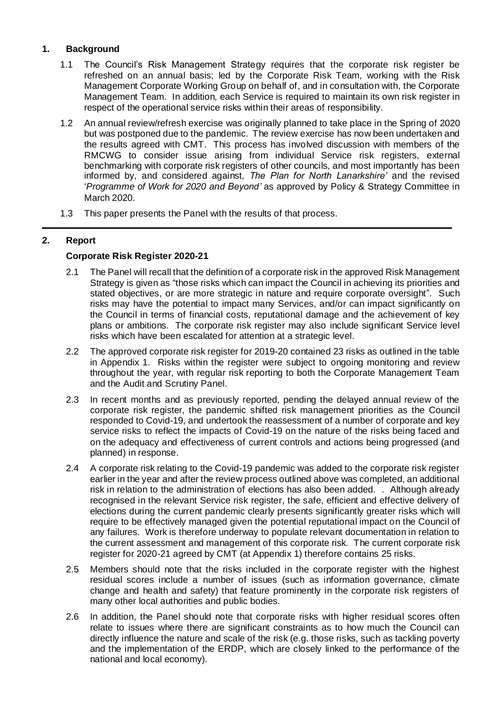### **1. Background**

- 1.1 The Council's Risk Management Strategy requires that the corporate risk register be refreshed on an annual basis; led by the Corporate Risk Team, working with the Risk Management Corporate Working Group on behalf of, and in consultation with, the Corporate Management Team. In addition, each Service is required to maintain its own risk register in respect of the operational service risks within their areas of responsibility.
- 1.2 An annual review/refresh exercise was originally planned to take place in the Spring of 2020 but was postponed due to the pandemic. The review exercise has now been undertaken and the results agreed with CMT. This process has involved discussion with members of the RMCWG to consider issue arising from individual Service risk registers, external benchmarking with corporate risk registers of other councils, and most importantly has been informed by, and considered against, *The Plan for North Lanarkshire'* and the revised '*Programme of Work for 2020 and Beyond'* as approved by Policy & Strategy Committee in March 2020.
- 1.3 This paper presents the Panel with the results of that process.

### **2. Report**

### **Corporate Risk Register 2020-21**

- 2.1 The Panel will recall that the definition of a corporate risk in the approved Risk Management Strategy is given as "those risks which can impact the Council in achieving its priorities and stated objectives, or are more strategic in nature and require corporate oversight". Such risks may have the potential to impact many Services, and/or can impact significantly on the Council in terms of financial costs, reputational damage and the achievement of key plans or ambitions. The corporate risk register may also include significant Service level risks which have been escalated for attention at a strategic level.
- 2.2 The approved corporate risk register for 2019-20 contained 23 risks as outlined in the table in Appendix 1. Risks within the register were subject to ongoing monitoring and review throughout the year, with regular risk reporting to both the Corporate Management Team and the Audit and Scrutiny Panel.
- 2.3 In recent months and as previously reported, pending the delayed annual review of the corporate risk register, the pandemic shifted risk management priorities as the Council responded to Covid-19, and undertook the reassessment of a number of corporate and key service risks to reflect the impacts of Covid-19 on the nature of the risks being faced and on the adequacy and effectiveness of current controls and actions being progressed (and planned) in response.
- 2.4 A corporate risk relating to the Covid-19 pandemic was added to the corporate risk register earlier in the year and after the review process outlined above was completed, an additional risk in relation to the administration of elections has also been added. . Although already recognised in the relevant Service risk register, the safe, efficient and effective delivery of elections during the current pandemic clearly presents significantly greater risks which will require to be effectively managed given the potential reputational impact on the Council of any failures. Work is therefore underway to populate relevant documentation in relation to the current assessment and management of this corporate risk. The current corporate risk register for 2020-21 agreed by CMT (at Appendix 1) therefore contains 25 risks.
- 2.5 Members should note that the risks included in the corporate register with the highest residual scores include a number of issues (such as information governance, climate change and health and safety) that feature prominently in the corporate risk registers of many other local authorities and public bodies.
- 2.6 In addition, the Panel should note that corporate risks with higher residual scores often relate to issues where there are significant constraints as to how much the Council can directly influence the nature and scale of the risk (e.g. those risks, such as tackling poverty and the implementation of the ERDP, which are closely linked to the performance of the national and local economy).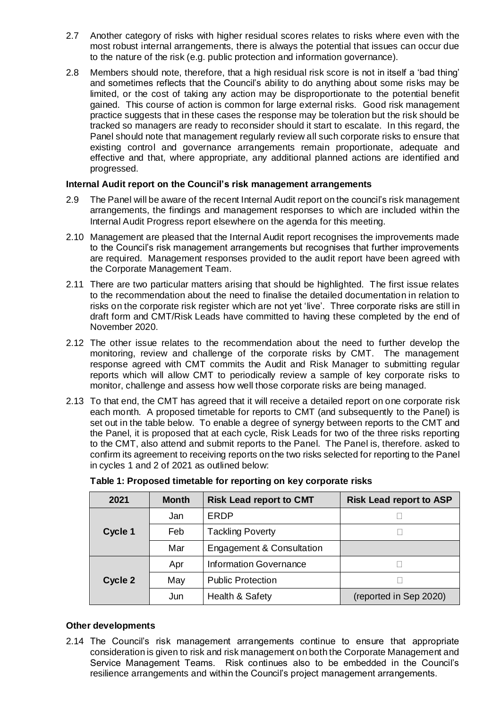- 2.7 Another category of risks with higher residual scores relates to risks where even with the most robust internal arrangements, there is always the potential that issues can occur due to the nature of the risk (e.g. public protection and information governance).
- 2.8 Members should note, therefore, that a high residual risk score is not in itself a 'bad thing' and sometimes reflects that the Council's ability to do anything about some risks may be limited, or the cost of taking any action may be disproportionate to the potential benefit gained. This course of action is common for large external risks. Good risk management practice suggests that in these cases the response may be toleration but the risk should be tracked so managers are ready to reconsider should it start to escalate. In this regard, the Panel should note that management regularly review all such corporate risks to ensure that existing control and governance arrangements remain proportionate, adequate and effective and that, where appropriate, any additional planned actions are identified and progressed.

#### **Internal Audit report on the Council's risk management arrangements**

- 2.9 The Panel will be aware of the recent Internal Audit report on the council's risk management arrangements, the findings and management responses to which are included within the Internal Audit Progress report elsewhere on the agenda for this meeting.
- 2.10 Management are pleased that the Internal Audit report recognises the improvements made to the Council's risk management arrangements but recognises that further improvements are required. Management responses provided to the audit report have been agreed with the Corporate Management Team.
- 2.11 There are two particular matters arising that should be highlighted. The first issue relates to the recommendation about the need to finalise the detailed documentation in relation to risks on the corporate risk register which are not yet 'live'. Three corporate risks are still in draft form and CMT/Risk Leads have committed to having these completed by the end of November 2020.
- 2.12 The other issue relates to the recommendation about the need to further develop the monitoring, review and challenge of the corporate risks by CMT. The management response agreed with CMT commits the Audit and Risk Manager to submitting regular reports which will allow CMT to periodically review a sample of key corporate risks to monitor, challenge and assess how well those corporate risks are being managed.
- 2.13 To that end, the CMT has agreed that it will receive a detailed report on one corporate risk each month. A proposed timetable for reports to CMT (and subsequently to the Panel) is set out in the table below. To enable a degree of synergy between reports to the CMT and the Panel, it is proposed that at each cycle, Risk Leads for two of the three risks reporting to the CMT, also attend and submit reports to the Panel. The Panel is, therefore. asked to confirm its agreement to receiving reports on the two risks selected for reporting to the Panel in cycles 1 and 2 of 2021 as outlined below:

| 2021    | <b>Month</b> | <b>Risk Lead report to CMT</b>       | <b>Risk Lead report to ASP</b> |
|---------|--------------|--------------------------------------|--------------------------------|
|         | Jan          | ERDP                                 |                                |
| Cycle 1 | Feb          | <b>Tackling Poverty</b>              |                                |
|         | Mar          | <b>Engagement &amp; Consultation</b> |                                |
|         | Apr          | <b>Information Governance</b>        |                                |
| Cycle 2 | May          | <b>Public Protection</b>             |                                |
|         | Jun          | Health & Safety                      | (reported in Sep 2020)         |

#### **Table 1: Proposed timetable for reporting on key corporate risks**

#### **Other developments**

2.14 The Council's risk management arrangements continue to ensure that appropriate consideration is given to risk and risk management on both the Corporate Management and Service Management Teams. Risk continues also to be embedded in the Council's resilience arrangements and within the Council's project management arrangements.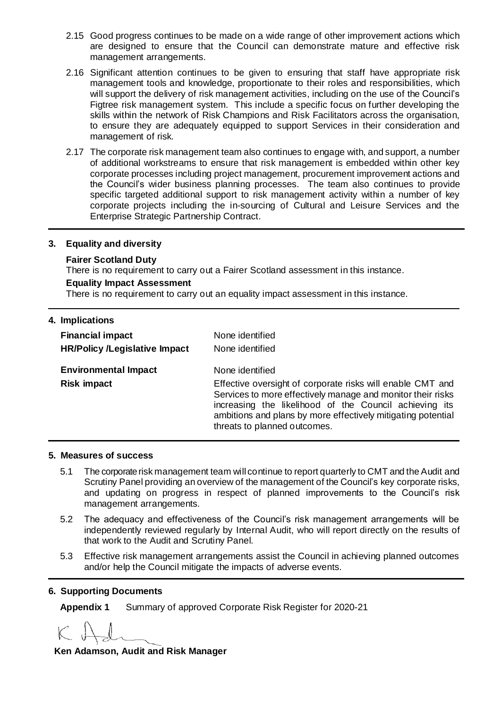- 2.15 Good progress continues to be made on a wide range of other improvement actions which are designed to ensure that the Council can demonstrate mature and effective risk management arrangements.
- 2.16 Significant attention continues to be given to ensuring that staff have appropriate risk management tools and knowledge, proportionate to their roles and responsibilities, which will support the delivery of risk management activities, including on the use of the Council's Figtree risk management system. This include a specific focus on further developing the skills within the network of Risk Champions and Risk Facilitators across the organisation, to ensure they are adequately equipped to support Services in their consideration and management of risk.
- 2.17 The corporate risk management team also continues to engage with, and support, a number of additional workstreams to ensure that risk management is embedded within other key corporate processes including project management, procurement improvement actions and the Council's wider business planning processes. The team also continues to provide specific targeted additional support to risk management activity within a number of key corporate projects including the in-sourcing of Cultural and Leisure Services and the Enterprise Strategic Partnership Contract.

#### **3. Equality and diversity**

#### **Fairer Scotland Duty**

There is no requirement to carry out a Fairer Scotland assessment in this instance.

#### **Equality Impact Assessment**

There is no requirement to carry out an equality impact assessment in this instance.

| 4. Implications                      |                                                                                                                                                                                                                                                                                     |
|--------------------------------------|-------------------------------------------------------------------------------------------------------------------------------------------------------------------------------------------------------------------------------------------------------------------------------------|
| <b>Financial impact</b>              | None identified                                                                                                                                                                                                                                                                     |
| <b>HR/Policy /Legislative Impact</b> | None identified                                                                                                                                                                                                                                                                     |
| <b>Environmental Impact</b>          | None identified                                                                                                                                                                                                                                                                     |
| <b>Risk impact</b>                   | Effective oversight of corporate risks will enable CMT and<br>Services to more effectively manage and monitor their risks<br>increasing the likelihood of the Council achieving its<br>ambitions and plans by more effectively mitigating potential<br>threats to planned outcomes. |

#### **5. Measures of success**

- 5.1 The corporate risk management team will continue to report quarterly to CMT and the Audit and Scrutiny Panel providing an overview of the management of the Council's key corporate risks, and updating on progress in respect of planned improvements to the Council's risk management arrangements.
- 5.2 The adequacy and effectiveness of the Council's risk management arrangements will be independently reviewed regularly by Internal Audit, who will report directly on the results of that work to the Audit and Scrutiny Panel.
- 5.3 Effective risk management arrangements assist the Council in achieving planned outcomes and/or help the Council mitigate the impacts of adverse events.

#### **6. Supporting Documents**

**Appendix 1** Summary of approved Corporate Risk Register for 2020-21

**Ken Adamson, Audit and Risk Manager**